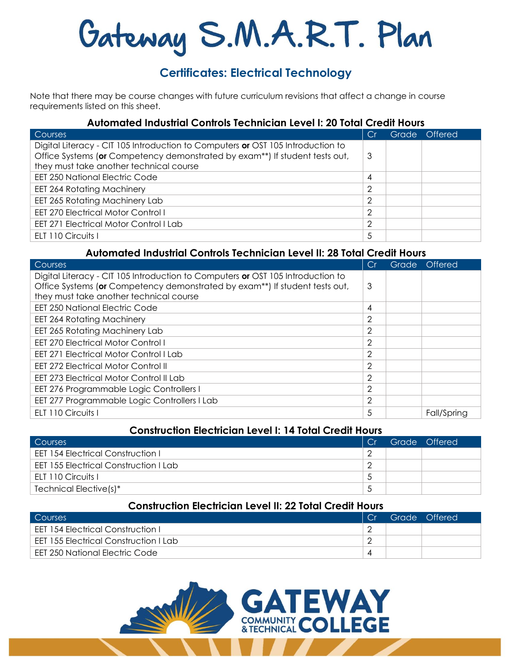# Gateway S.M.A.R.T. Plan

## **Certificates: Electrical Technology**

Note that there may be course changes with future curriculum revisions that affect a change in course requirements listed on this sheet.

## **Automated Industrial Controls Technician Level I: 20 Total Credit Hours**

| Courses                                                                         |                | Grade 1 | <b>Offered</b> |
|---------------------------------------------------------------------------------|----------------|---------|----------------|
| Digital Literacy - CIT 105 Introduction to Computers or OST 105 Introduction to |                |         |                |
| Office Systems (or Competency demonstrated by exam**) If student tests out,     | 3              |         |                |
| they must take another technical course                                         |                |         |                |
| <b>EET 250 National Electric Code</b>                                           | 4              |         |                |
| <b>EET 264 Rotating Machinery</b>                                               | っ              |         |                |
| EET 265 Rotating Machinery Lab                                                  | っ              |         |                |
| <b>EET 270 Electrical Motor Control I</b>                                       | $\overline{2}$ |         |                |
| <b>EET 271 Electrical Motor Control I Lab</b>                                   | 2              |         |                |
| ELT 110 Circuits I                                                              | 5              |         |                |

## **Automated Industrial Controls Technician Level II: 28 Total Credit Hours**

| Courses                                                                         |                | Grade | Offered     |
|---------------------------------------------------------------------------------|----------------|-------|-------------|
| Digital Literacy - CIT 105 Introduction to Computers or OST 105 Introduction to |                |       |             |
| Office Systems (or Competency demonstrated by exam**) If student tests out,     | 3              |       |             |
| they must take another technical course                                         |                |       |             |
| <b>EET 250 National Electric Code</b>                                           | 4              |       |             |
| <b>EET 264 Rotating Machinery</b>                                               | 2              |       |             |
| EET 265 Rotating Machinery Lab                                                  | $\overline{2}$ |       |             |
| <b>EET 270 Electrical Motor Control I</b>                                       | 2              |       |             |
| <b>EET 271 Electrical Motor Control I Lab</b>                                   | $\overline{2}$ |       |             |
| <b>EET 272 Electrical Motor Control II</b>                                      | 2              |       |             |
| EET 273 Electrical Motor Control II Lab                                         | $\overline{2}$ |       |             |
| EET 276 Programmable Logic Controllers I                                        | $\overline{2}$ |       |             |
| EET 277 Programmable Logic Controllers I Lab                                    | 2              |       |             |
| ELT 110 Circuits I                                                              | 5              |       | Fall/Spring |

## **Construction Electrician Level I: 14 Total Credit Hours**

| Courses                                  | Cr | Grade Offered |
|------------------------------------------|----|---------------|
| <b>EET 154 Electrical Construction I</b> |    |               |
| EET 155 Electrical Construction I Lab    |    |               |
| ELT 110 Circuits I                       |    |               |
| Technical Elective(s)*                   |    |               |

### **Construction Electrician Level II: 22 Total Credit Hours**

| <b>Courses</b>                        |  | Grade Offered |
|---------------------------------------|--|---------------|
| EET 154 Electrical Construction I     |  |               |
| EET 155 Electrical Construction I Lab |  |               |
| EET 250 National Electric Code        |  |               |

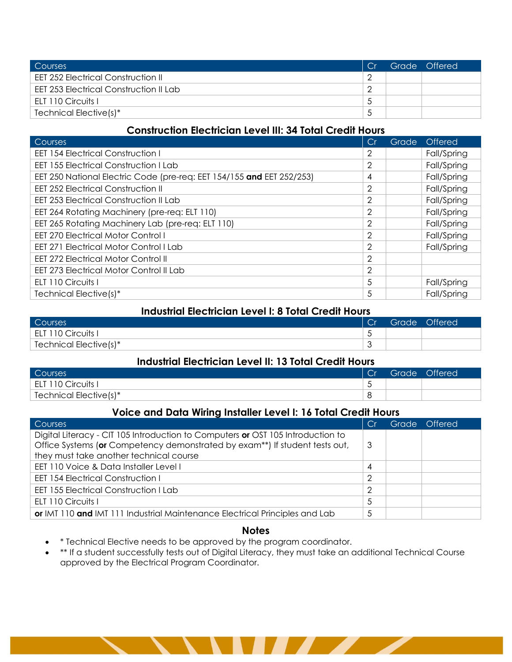| Courses                                       | Cr | Grade Offered |
|-----------------------------------------------|----|---------------|
| <b>EET 252 Electrical Construction II</b>     |    |               |
| <b>EET 253 Electrical Construction II Lab</b> |    |               |
| ELT 110 Circuits I                            |    |               |
| Technical Elective(s)*                        |    |               |

## **Construction Electrician Level III: 34 Total Credit Hours**

| Courses                                                               | C.r | Grade | Offered     |
|-----------------------------------------------------------------------|-----|-------|-------------|
| <b>EET 154 Electrical Construction I</b>                              | 2   |       | Fall/Spring |
| <b>EET 155 Electrical Construction I Lab</b>                          | 2   |       | Fall/Spring |
| EET 250 National Electric Code (pre-req: EET 154/155 and EET 252/253) | 4   |       | Fall/Spring |
| <b>EET 252 Electrical Construction II</b>                             | 2   |       | Fall/Spring |
| <b>EET 253 Electrical Construction II Lab</b>                         | 2   |       | Fall/Spring |
| EET 264 Rotating Machinery (pre-req: ELT 110)                         | 2   |       | Fall/Spring |
| EET 265 Rotating Machinery Lab (pre-req: ELT 110)                     | 2   |       | Fall/Spring |
| <b>EET 270 Electrical Motor Control I</b>                             | 2   |       | Fall/Spring |
| EET 271 Electrical Motor Control I Lab                                | 2   |       | Fall/Spring |
| <b>EET 272 Electrical Motor Control II</b>                            | 2   |       |             |
| EET 273 Electrical Motor Control II Lab                               | 2   |       |             |
| ELT 110 Circuits I                                                    | 5   |       | Fall/Spring |
| Technical Elective(s)*                                                | 5   |       | Fall/Spring |

#### **Industrial Electrician Level I: 8 Total Credit Hours**

| Courses                |  | Grade Offered |
|------------------------|--|---------------|
| ELT 110 Circuits I     |  |               |
| Technical Elective(s)* |  |               |

### **Industrial Electrician Level II: 13 Total Credit Hours**

| Courses                | <b>Cr</b> | Grade & | Offered <sup>1</sup> |
|------------------------|-----------|---------|----------------------|
| ELT 110 Circuits I     | ັ         |         |                      |
| Technical Elective(s)* |           |         |                      |

#### **Voice and Data Wiring Installer Level I: 16 Total Credit Hours**

| <b>Courses</b>                                                                                                                                                                                            |                | Grade Offered |
|-----------------------------------------------------------------------------------------------------------------------------------------------------------------------------------------------------------|----------------|---------------|
| Digital Literacy - CIT 105 Introduction to Computers or OST 105 Introduction to<br>Office Systems (or Competency demonstrated by exam**) If student tests out,<br>they must take another technical course | 3              |               |
| EET 110 Voice & Data Installer Level I                                                                                                                                                                    | 4              |               |
| <b>EET 154 Electrical Construction I</b>                                                                                                                                                                  | 2              |               |
| <b>EET 155 Electrical Construction I Lab</b>                                                                                                                                                              | $\overline{2}$ |               |
| ELT 110 Circuits I                                                                                                                                                                                        | 5              |               |
| or IMT 110 and IMT 111 Industrial Maintenance Electrical Principles and Lab                                                                                                                               | 5              |               |

#### **Notes**

- \* Technical Elective needs to be approved by the program coordinator.
- \*\* If a student successfully tests out of Digital Literacy, they must take an additional Technical Course approved by the Electrical Program Coordinator.